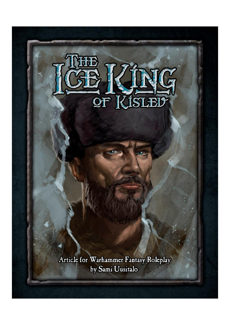

Article for Warhammer Fantasy Roleplay<br>by Sami Uusitalo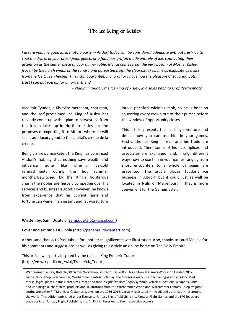# The Ice King of Kislev

*I assure you, my good lord, that no party in Altdorf today can be considered adequate without fresh ice to cool the drinks of your prestigious guests or a fabulous griffon made entirely of ice, captivating their attention as the center piece of your dinner table. My ice comes from the very bosom of Mother Kislev, frozen by the harsh winds of the tundra and harvested from the clearest lakes. It is as exquisite as a kiss from the Ice Queen herself. This I can guarantee, my lord, for I have had the pleasure of savoring both. I trust I can put you up for an order then?*

*- Vladimir Tyudor, the Ice King of Kislev, in a sales pitch to Graf Reichenbach*

Vladimir Tyudor, a Kislevite merchant, charlatan, and the self-proclaimed Ice King of Kislev has recently come up with a plan to harvest ice from the frozen lakes up in Northern Kislev for the purposes of exporting it to Altdorf where he will sell it as a luxury good to the capital's crème de la crème.

Being a shrewd marketer, the King has convinced Altdorf's nobility that nothing says wealth and influence quite like offering ice-cold refereshments during the hot summer months. Bewitched by the King's boisterous charm the nobles are fiercely competing over his services and business is good. However, he knows from experience that his current fame and fortune can wane in an instant and, at worst, turn into a pitchfork-wielding mob, so he is bent on squeezing every crown out of their purses before the window of opportunity closes.

This article presents the Ice King's venture and details how you can use him in your games. Firstly, the Ice King himself and his trade are introduced. Then, some of his accomplices and associates are examined, and, finally, different ways how to use him in your games ranging from short encounters to a whole campaign are presented. The article places Tyudor's ice business in Altdorf, but it could just as well be located in Nuln or Marienburg if that is more convenient for the Gamemaster.

#### **Written by:** Sami Uusitalo [\(sami.uusitalo1@gmail.com\)](mailto:sami.uusitalo1@gmail.com)

#### **Cover and art by:** Pasi Juhola [\(http://pahapasi.deviantart.com\)](http://pahapasi.deviantart.com/)

A thousand thanks to Pasi Juhola for another magnificent cover illustration. Also, thanks to Lauri Maijala for his comments and suggestions as well as giving this article an online home on The Daily Empire.

This article was partly inspired by the real Ice King Frederic Tudor (http://en.wikipedia.org/wiki/Frederick\_Tudor )

Warhammer Fantasy Roleplay © Games Workshop Limited 1986, 2005. This edition © Games Workshop Limited 2012. Games Workshop, Warhammer, Warhammer Fantasy Roleplay, the foregoing marks' respective logos and all associated marks, logos, places, names, creatures, races and race insignia/devices/logos/symbols, vehicles, locations, weapons, units and unit insignia, characters, products and illustrations from the Warhammer World and Warhammer Fantasy Roleplay game setting are either ®, TM and/or © Games Workshop Ltd 1986-2012, variably registered in the UK and other countries around the world. This edition published under license to Fantasy Flight Publishing Inc. Fantasy Flight Games and the FFG logos are trademarks of Fantasy Flight Publishing, Inc. All Rights Reserved to their respective owners.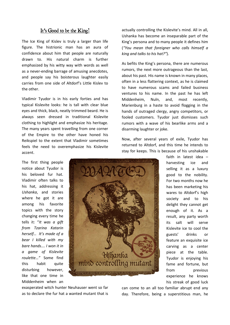# It's Good to be the King!

The Ice King of Kislev is truly a larger than life figure. The histrionic man has an aura of confidence about him that people are naturally drawn to. His natural charm is further emphasized by his witty way with words as well as a never-ending barrage of amusing anecdotes, and people say his boisterous laughter easily carries from one side of Altdorf's Little Kislev to the other.

Vladimir Tyudor is in his early forties and has typical Kislevite looks: he is tall with clear blue eyes and thick, black, neatly trimmed beard. He is always seen dressed in traditional Kislevite clothing to highlight and emphasize his heritage. The many years spent travelling from one corner of the Empire to the other have honed his Reikspiel to the extent that Vladimir sometimes feels the need to overemphasize his Kislevite accent.

The first thing people notice about Tyudor is his beloved fur hat. Vladimir often talks to his hat, addressing it *Ushanka*, and stories where he got it are among his favorite topics with the story changing every time he tells it: "*It was a gift from Tzarina Katarin herself… It's made of a bear I killed with my bare hands…. I won it in a game of Kislevite roulette…"* Some find this habit quite disturbing however, like that one time in Middenheim when an



exasperated witch hunter Neuhauser went so far as to declare the fur hat a wanted mutant that is actually controlling the Kislevite's mind. All in all, Ushanka has become an inseparable part of the King's persona and to many people it defines him (*"You mean that foreigner who calls himself a king and talks to his hat?"*).

As befits the King's persona, there are numerous rumors, the next more outrageous than the last, about his past. His name is known in many places, often in a less flattering context, as he is claimed to have numerous scams and failed business ventures to his name. In the past he has left Middenheim, Nuln, and, most recently, Marienburg in a haste to avoid flogging in the hands of outraged clergy, angry competitors, or fooled customers. Tyudor just dismisses such rumors with a wave of his bearlike arms and a disarming laughter or joke.

Now, after several years of exile, Tyudor has returned to Altdorf, and this time he intends to stay for keeps. This is because of his unshakable

> faith in latest idea – harvesting ice and selling it as a luxury good to the nobility. For two months now he has been marketing his wares to Altdorf's high society and to his delight they cannot get enough of it. As a result, any party worth its salt will serve Kislevite ice to cool the guests' drinks or feature an exquisite ice carving as a center piece at the table. Tyudor is enjoying his fame and fortune, but from previous experience he knows his streak of good luck

can come to an all too familiar abrupt end any day. Therefore, being a superstitious man, he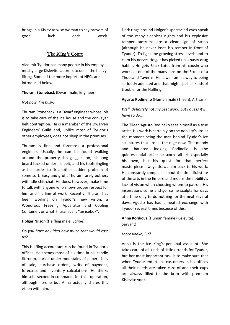brings in a Kislevite wise woman to say prayers of good luck each week.

# The King's Court

Vladimir Tyudor has many people in his employ, mostly large Kislevite laborers to do all the heavy lifting. Some of the more important NPCs are introduced below.

### **Thuram Stoneback** (Dwarf male, Engineer)

### *Not now, I'm busy!*

Thuram Stoneback is a Dwarf engineer whose job is to take care of the ice house and the conveyer belt contraption. He is a member of the Dwarven Engineers' Guild and, unlike most of Tyudor's other employees, does not sleep in the premises.

Thuram is first and foremost a professional engineer. Usually, he can be found walking around the property, his goggles on, his long beard tucked under his belt, and his tools jingling as he hurries to fix another sudden problem of some sort. Busy and gruff, Thuram rarely bothers with idle chit-chat. He does, however, make time to talk with anyone who shows proper respect for him and his line of work. Recently, Thuram has been working on Tyudor's new vision: a Wondrous Freezing Apparatus and Cooling Container, or what Thuram calls "an icebox".

### **Holger Nilson** (Halfling male, Scribe)

*Do you have any idea how much that would cost us?*

This Halfling accountant can be found in Tyudor's offices. He spends most of his time in his candle lit room, buried under mountains of paper: bills of sale, purchase orders, writs of payment, forecasts and inventory calculations. He thinks himself second-in-command in this operation, although no-one but Anna actually shares this vision with him.

Dark rings around Holger's spectacled eyes speak of too many sleepless nights and his explosive temper tantrums are a clear sign of stress (although he never loses his temper in front of Tyudor). To fight the growing stress levels and to calm his nerves Holger has picked up a nasty drug habbit. He gets Black Lotus from his cousin who works at one of the many inns on the Street of a Thousand Taverns. He is well on his way to being seriously addicted and that might spell all kinds of trouble for the Halfling.

### **Agusto Rodinello** (Human male (Tilean), Artisan)

# *Well, definitely not my best work, but I guess it'll have to do…*

The Tilean Agusto Rodinello sees himself as a true artist. His work is certainly on the nobility's lips at the moment being the man behind Tyudor's ice sculptures that are all the rage now. The moody and haunted looking Rodinello is the quintessential artist: he scorns all art, especially his own, but his quest for that perfect masterpiece always draws him back to his work. He constantly complains about the dreadful state of the arts in the Empire and moans the nobility's lack of vision when choosing whom to patron. His inspirations come and go, so he sculpts for days at a time only to do nothing for the next several days. Agusto has had a heated exchange with Tyudor several times because of this.

## **Anna Korikova** (Human female (Kislevite), Servant)

### *More vodka, Sir?*

Anna is the Ice King's personal assistant. She takes care of all kinds of little errands for Tyudor, but her most important task is to make sure that when Tyudor entertains customers in his offices all their needs are taken care of and their cups are always filled to the brim with premium Kislevite vodka.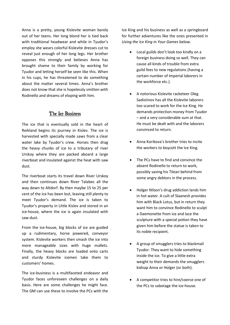Anna is a pretty, young Kislevite woman barely out of her teens. Her long blond her is tied back with traditional headwear and while in Tyudor's employ she wears colorful Kislevite dresses cut to reveal just enough of her long legs. Her brother opposes this strongly and believes Anna has brought shame to their family by working for Tyudor and letting herself be seen like this. When in his cups, he has threatened to do something about the matter several times. Anna's brother does not know that she is hopelessly smitten with Rodinello and dreams of eloping with him.

### The Ice Business

The ice that is eventually sold in the heart of Reikland begins its journey in Kislev. The ice is harvested with specially made saws from a clear water lake by Tyudor's crew. Horses then drag the heavy chunks of ice to a tributary of river Urskoy where they are packed aboard a large riverboat and insulated against the heat with saw dust.

The riverboat starts its travel down River Urskoy and then continues down River Talabec all the way down to Altdorf. By then maybe 15 to 25 per cent of the ice has been lost, leaving still plenty to meet Tyudor's demand. The ice is taken to Tyudor's property in Little Kislev and stored in an ice-house, where the ice is again insulated with saw dust.

From the ice-house, big blocks of ice are guided up a rudimentary, horse powered, conveyor system. Kislevite workers then smash the ice into more manageable sizes with huge mallets. Finally, the heavy blocks are loaded onto carts and sturdy Kislevite icemen take them to customers' homes.

The ice-business is a multifaceted endeavor and Tyudor faces unforeseen challenges on a daily basis. Here are some challenges he might face. The GM can use these to involve the PCs with the

Ice King and his business as well as a springboard for further adventures like the ones presented in *Using the Ice King in Your Games* below.

- Local guilds don't look too kindly on a foreign business doing so well. They can cause all kinds of trouble from extra guild fees to new regulations (having a certain number of Imperial laborers in the workforce etc.).
- A notorious Kislevite racketeer Oleg Sadistinov has all the Kislevite laborers too scared to work for the Ice King. He demands protection money from Tyudor – and a very considerable sum at that. He must be dealt with and the laborers convinced to return.
- Anna Korikova's brother tries to incite the workers to boycott the Ice King.
- The PCs have to find and convince the absent Rodinello to return to work, possibly saving his Tilean behind from some angry debtors in the process.
- Holger Nilson's drug addiction lands him in hot water. A cult of Slaanesh provides him with Black Lotus, but in return they want him to convince Rodinello to sculpt a Daemonette from ice and lace the sculpture with a special potion they have given him before the statue is taken to its noble recipient.
- A group of smugglers tries to blackmail Tyudor. They want to hide something inside the ice. To give a little extra weight to their demands the smugglers kidnap Anna or Holger (or both).
- A competitor tries to hire/coerce one of the PCs to sabotage the ice-house.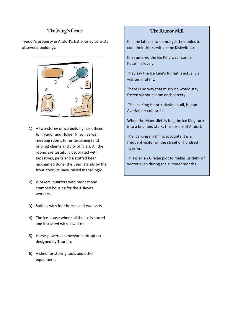# The King's Castle

Tyudor's property in Altdorf's Little Kislev consists of several buildings:



- 1) A two-storey office building has offices for Tyudor and Holger Nilson as well meeting rooms for entertaining (and bribing) clients and city officials. All the rooms are tastefully decorated with tapestries, pelts and a stuffed bear nicknamed Boris (the Bear) stands by the front door, its paws raised menacingly.
- 2) Workers' quarters with modest and cramped housing for the Kislevite workers.
- 3) Stables with four horses and two carts.
- 4) The ice-house where all the ice is stored and insulated with saw dust.
- 5) Horse-powered conveyor contraption designed by Thuram.
- 6) A shed for storing tools and other equipment.

# The Rumor Mill

It is the latest craze amongst the nobles to cool their drinks with some Kislevite ice.

It is rumored the Ice King was Tsarina Katarin's lover.

They say the Ice King's fur hat is actually a wanted mutant.

There is no way that much ice would stay frozen without some dark sorcery.

The Ice King is not Kislevite at all, but an Averlander con-artist.

When the Mannslieb is full, the Ice King turns into a bear and stalks the streets of Altdorf.

The Ice King's Halfling accountant is a frequent visitor on the street of Hundred Taverns.

This is all an Ulrican plot to makes us think of winter even during the summer months.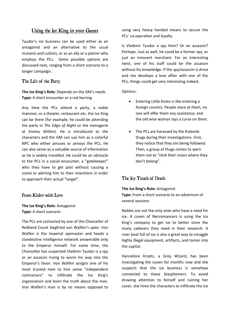# Using the Ice King in your Games

Tyudor's ice business can be used either as an antagonist and an alternative to the usual mutants and cultists, or as an ally or a patron who employs the PCs. Some possible options are discussed next, ranging from a short scenario to a longer campaign.

### The Life of the Party

**The Ice King's Role:** Depends on the GM's needs **Type:** A short encounter or a red herring

Any time the PCs attend a party, a noble mansion, or a theater, restaurant etc. the Ice King can be there (for example, he could be attending the party in *The Edge of Night* or the menagerie at *Enemy Within*). He is introduced to the characters and the GM can use him as a colorful NPC who either amuses or annoys the PCs. He can also serve as a valuable source of information as he is widely travelled. He could be an obstacle to the PCs in a social encounter, a "gatekeeper" who they have to get past without causing a scene or alerting him to their intentions in order to approach their actual "target".

### From Kislev with Love

### **The Ice King's Role:** Antagonist **Type:** A short scenario

The PCs are contacted by one of the Chancellor of Reikland Count Siegfried von Walfen's spies. Von Walfen is the Imperial spymaster and heads a clandestine intelligence network answerable only to the Emperor himself. For some time, the Chancellor has suspected Vladimir Tyudor is a spy or an assassin trying to worm his way into the Emperor's favor. Von Walfen assigns one of his most trusted men to hire some "independent contractors" to infiltrate the Ice King's organization and learn the truth about the man. Von Walfen's man is by no means opposed to

using very heavy handed means to secure the PCs' co-operation and loyalty.

Is Vladimir Tyudor a spy then? Or an assassin? Perhaps. Just as well, he could be a former spy, or just an innocent merchant. For an interesting twist, one of his staff could be the assassin without his knowledge. If the spy/assassin is Anna and she develops a love affair with one of the PCs, things could get very interesting indeed.

Options:

- Entering Little Kislev is like entering a foreign country. People stare at them, no one will offer them any assistance, and the old wise woman lays a curse on them.
- The PCs are harassed by the Kislevite thugs during their investigations. First, they notice that they are being followed. Then, a group of thugs comes to warn them not to "stick their noses where they don't belong".

# The Icy Touch of Death

### **The Ice King's Role:** Antagonist

**Type:** From a short scenario to an adventure of several sessions

Nobles are not the only ones who have a need for ice. A coven of Necromancers is using the Ice King's company to get ice to better store the many cadavers they need in their research. A river boat full of ice is also a great way to smuggle highly illegal equipment, artifacts, and tomes into the capital.

Hannelore Kroetz, a Grey Wizard, has been investigating the coven for months now and she suspects that the ice business is somehow connected to these blasphemers. To avoid drawing attention to herself and ruining her cover, she hires the characters to infiltrate the Ice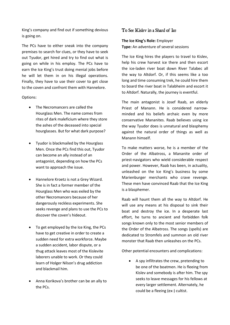King's company and find out if something devious is going on.

The PCs have to either sneak into the company premises to search for clues, or they have to seek out Tyudor, get hired and try to find out what is going on while in his employ. The PCs have to earn the Ice King's trust doing menial jobs before he will let them in on his illegal operations. Finally, they have to use their cover to get close to the coven and confront them with Hannelore.

### Options:

- The Necromancers are called the Hourglass Men. The name comes from rites of dark maleficium where they store the ashes of the deceased into special hourglasses. But for what dark purpose?
- Tyudor is blackmailed by the Hourglass Men. Once the PCs find this out, Tyudor can become an ally instead of an antagonist, depending on how the PCs want to approach the issue.
- Hannelore Kroetz is not a Grey Wizard. She is in fact a former member of the Hourglass Men who was exiled by the other Necromancers because of her dangerously reckless experiments. She seeks revenge and plans to use the PCs to discover the coven's hideout.
- To get employed by the Ice King, the PCs have to get creative in order to create a sudden need for extra workforce. Maybe a sudden accident, labor dispute, or a thug attack leaves most of the Kislevite laborers unable to work. Or they could learn of Holger Nilson's drug addiction and blackmail him.
- Anna Korikova's brother can be an ally to the PCs.

### To See Kislev in a Shard of Ice

#### **The Ice King's Role:** Employer

**Type:** An adventure of several sessions

The Ice King hires the players to travel to Kislev, help his crew harvest ice there and then escort the ice-laden river boat down River Talabec all the way to Altdorf. Or, if this seems like a too long and time consuming trek, he could hire them to board the river boat in Talabheim and escort it to Altdorf. Naturally, the journey is eventful.

The main antagonist is Josef Raab, an elderly Priest of Manann. He is considered narrowminded and his beliefs archaic even by more conservative Mananites. Raab believes using ice the way Tyudor does is unnatural and blasphemy against the natural order of things as well as Manann himself.

To make matters worse, he is a member of the Order of the Albatross, a Mananite order of priest-navigators who wield considerable respect and power. However, Raab has been, in actuality, unleashed on the Ice King's business by some Marienburger merchants who crave revenge. These men have convinced Raab that the Ice King is a blasphemer.

Raab will haunt them all the way to Altdorf. He will use any means at his disposal to sink their boat and destroy the ice. In a desperate last effort, he turns to ancient and forbidden folk songs known only to the most senior members of the Order of the Albatross. The songs (spells) are dedicated to Stromfels and summon an old river monster that Raab then unleashes on the PCs.

Other potential encounters and complications:

 A spy infiltrates the crew, pretending to be one of the boatmen. He is fleeing from Kislev and somebody is after him. The spy seeks to leave messages for his fellows at every larger settlement. Alternately, he could be a fleeing (ex-) cultist.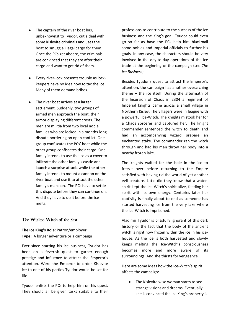- The captain of the river boat has, unbeknownst to Tyudor, cut a deal with some Kislevite criminals and uses the boat to smuggle illegal cargo for them. Once the PCs get aboard, the criminals are convinced that they are after their cargo and want to get rid of them.
- Every river-lock presents trouble as lockkeepers have no idea how to tax the ice. Many of them demand bribes.
- The river boat arrives at a larger settlement. Suddenly, two groups of armed men approach the boat, their armor displaying different crests. The men are militia from two local noble families who are locked in a months-long dispute bordering on open conflict. One group confiscates the PCs' boat while the other group confiscates their cargo. One family intends to use the ice as a cover to infiltrate the other family's castle and launch a surprise attack, while the other family intends to mount a cannon on the river boat and use it to attack the other family's mansion. The PCs have to settle this dispute before they can continue on. And they have to do it before the ice melts.

### The Wicked Witch of the East

## **The Ice King's Role:** Patron/employer **Type:** A longer adventure or a campaign

Ever since starting his ice business, Tyudor has been on a feverish quest to garner enough prestige and influence to attract the Emperor's attention. Were the Emperor to order Kislevite ice to one of his parties Tyudor would be set for life.

Tyudor enlists the PCs to help him on his quest. They should all be given tasks suitable to their professions to contribute to the success of the ice business and the King's goal. Tyudor could even go so far as have the PCs help him blackmail some nobles and Imperial officials to further his goals. In any case, the characters should be very involved in the day-to-day operations of the ice trade at the beginning of the campaign (see *The Ice Business*).

Besides Tyudor's quest to attract the Emperor's attention, the campaign has another overarching theme – the ice itself. During the aftermath of the Incursion of Chaos in 2304 a regiment of Imperial knights came across a small village in Northern Kislev. The villagers were in league with a powerful Ice-Witch. The knights mistook her for a Chaos sorcerer and captured her. The knight commander sentenced the witch to death and had an accompanying wizard prepare an enchanted stake. The commander ran the witch through and had his men throw her body into a nearby frozen lake.

The knights waited for the hole in the ice to freeze over before returning to the Empire satisfied with having rid the world of yet another evil creature. Little did they know that a waterspirit kept the Ice-Witch's spirit alive, feeding her spirit with its own energy. Centuries later her captivity is finally about to end as someone has started harvesting ice from the very lake where the Ice-Witch is imprisoned.

Vladimir Tyudor is blissfully ignorant of this dark history or the fact that the body of the ancient witch is right now frozen within the ice in his icehouse. As the ice is both harvested and slowly keeps melting the Ice-Witch's consciousness becomes more and more aware of its surroundings. And she thirsts for vengeance…

Here are some ideas how the Ice-Witch's spirit affects the campaign:

 The Kislevite wise woman starts to see strange visions and dreams. Eventually, she is convinced the Ice King's property is